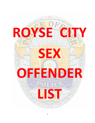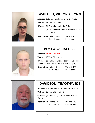

# **ASHFORD, VICTORIA, LYNN**

**Address**: 1613 Lesli Dr. Royse City, TX. 75189

**Victim:** 15 Year Old - Female

**Offense:** (1) Sexual Assault of a Child

 (2) Online Solicitation of a Minor - Sexual **Conduct** 

**Description**: Height: 5'09 Weight: 185

Hair: Blonde Eyes: Blue



## **BOSTWICK, JACOB, J**

#### **Address**: **INCARCERATED**

**Victim:** 10 Year Old - Male

**Offense:** (1) Injury to Child, Elderly, or Disabled Individual with Intent to Cause Bodily Injury

**Description**: Height: 5'10 Weight: 150

Hair: Brown Eyes: Hazel



## **DAVIDSON, TIMOTHY, JOE**

**Address**: 901 Stedham St. Royse City, TX. 75189

**Victim:** 12 Year Old - Female

**Offense:** (1) Indecency with a Child – Sexual Contact

**Description**: Height: 5'07 Weight: 210 Hair: White Eyes: Green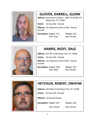

## **GLOVER, DARRELL, GLENN**

**Address**: American Inn Motel - 300 E IH 30 RM 117 Royse City, TX. 75189

**Victim:** 13 Year Old - Female

**Offense:** (1) Indecency with a Child – Sexual **Contact** 

**Description**: Height: 5'11 Weight: 165

Hair: Gray Eyes: Brown



#### **HARRIS, RICKY, DALE**

**Address**: 251 FM 1138, Royse City, TX. 75189

**Victim:** 16 Year Old - Female

**Offense:** (1) Indecency with a Child – Sexual Contact

**Description**: Height: 5'08 Weight: 167

Hair: Bald Eyes: Brown



## **HETCHLER, ROBERT, DWAYNE**

**Address**: 325 West Creek Royse City, TX. 75189

**Victim:** 42 Year Old - Female

**Offense:** (1) Sexual Assault

**Description**: Height: 6'01 Weight: 205

Hair: Brown Eyes: Brown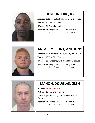

# **JOHNSON, ERIC, JOE**

**Address**: 1016 Joe Baley St. Royse City, TX. 75189 **Victim:** 30 Year Old - Female **Offense:** (1) Sexual Assault **Description**: Height: 5'07 Weight: 148 Hair: Black Eyes: Brown



## **KNEAREM, CLINT, ANTHONY**

**Address**: 1524 Brandon Dr. Royse City, TX. 75189

**Victim:** 15 Year Old - Female

**Offense:** (1) Indecency with a Child By Exposure

**Description**: Height: 6'03 Weight: 190 Hair: Blonde Eyes: Blue



## **MAHON, DOUGLAS, GLEN**

**Address**: **INCARCERATED**

**Victim:** 12 Year Old - Female

**Offense:** (1) Indecency with a Child – Sexual Contact

**Description**: Height: 5'07 Weight: 160 Hair: Brown Eyes: Blue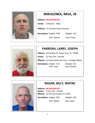

## **MIKULENKA, RAUL, JR**

#### **Address**: **INCARCERATED**

**Victim:** Unknown - Male

**Offense:** (1) Deviate Sexual Assault

**Description**: Height: 5'08 Weight: 155

Hair: Brown Eyes: Hazel



#### **PARREIRA, LARRY, JOSEPH**

**Address**: 225 Rowdy Dr. Royse City, TX. 75189 **Victim:** 15 Year Old - Female **Offense:** (1) Penetration by Force - Foreign Object **Description**: Height: 5'10 Weight: 215 Hair: Gray Eyes: Brown



#### **RAGAN, BILLY, WAYNE**

**Address**: **INCARCERATED**

**Victim:** 9 Year Old - Female **Offense:** (1) Sexual Assault of a Child

**Description**: Height: 5'06 Weight: 140

Hair: White Eyes: Blue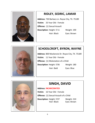

#### **RIDLEY, SEDRIC, LAMAR**

**Address**: 730 Barbary Ln. Royse City, TX. 75189 **Victim:** 33 Year Old - Female **Offense:** (1) Sexual Assault **Description**: Height: 5'11 Weight: 190 Hair: Black Eyes: Brown



#### **SCHOOLCROFT, BYRON, WAYNE**

**Address**: 800 Mackenzie Dr. Royse City, TX. 75189 **Victim:** 11 Year Old - Female **Offense:** (1) Molestation of a Child **Description**: Height: 5'06 Weight: 180 Hair: Bald Eyes: Blue



## **SINGH, DAVID**

**Address**: **INCARCERATED**

**Victim:** 16 Year Old - Female

**Offense:** (1) Sexual Assault of a Child

**Description**: Height: 5'07 Weight: 210 Hair: Black Eyes: Brown